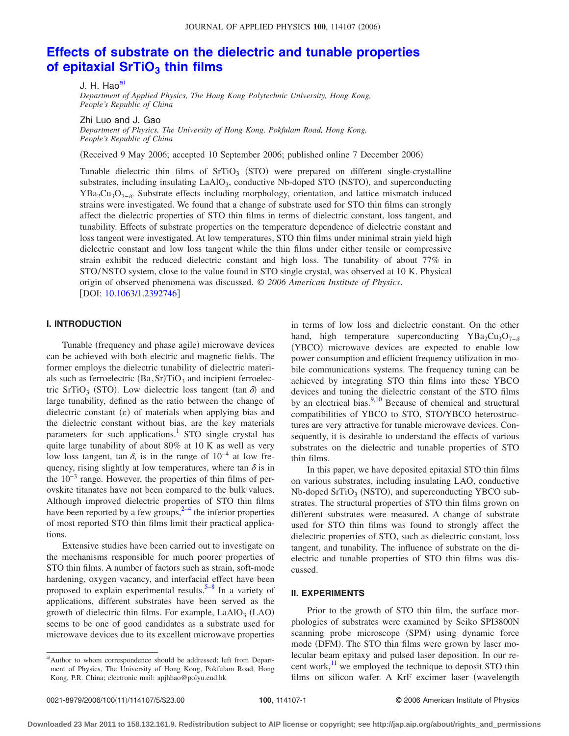#### JOURNAL OF APPLIED PHYSICS 100, 114107 (2006)

# **[Effects of substrate on the dielectric and tunable properties](http://dx.doi.org/10.1063/1.2392746) of epitaxial SrTiO<sub>3</sub> thin films**

J. H. Hao<sup>a)</sup>

*Department of Applied Physics, The Hong Kong Polytechnic University, Hong Kong, People's Republic of China*

Zhi Luo and J. Gao

*Department of Physics, The University of Hong Kong, Pokfulam Road, Hong Kong, People's Republic of China*

Received 9 May 2006; accepted 10 September 2006; published online 7 December 2006-

Tunable dielectric thin films of  $SrTiO<sub>3</sub>$  (STO) were prepared on different single-crystalline substrates, including insulating LaAlO<sub>3</sub>, conductive Nb-doped STO (NSTO), and superconducting YBa<sub>2</sub>Cu<sub>3</sub>O<sub>7− $\delta$ </sub>. Substrate effects including morphology, orientation, and lattice mismatch induced strains were investigated. We found that a change of substrate used for STO thin films can strongly affect the dielectric properties of STO thin films in terms of dielectric constant, loss tangent, and tunability. Effects of substrate properties on the temperature dependence of dielectric constant and loss tangent were investigated. At low temperatures, STO thin films under minimal strain yield high dielectric constant and low loss tangent while the thin films under either tensile or compressive strain exhibit the reduced dielectric constant and high loss. The tunability of about 77% in STO/NSTO system, close to the value found in STO single crystal, was observed at 10 K. Physical origin of observed phenomena was discussed. © *2006 American Institute of Physics*. [DOI: [10.1063/1.2392746](http://dx.doi.org/10.1063/1.2392746)]

## **I. INTRODUCTION**

Tunable (frequency and phase agile) microwave devices can be achieved with both electric and magnetic fields. The former employs the dielectric tunability of dielectric materials such as ferroelectric  $(Ba, Sr)TiO<sub>3</sub>$  and incipient ferroelectric SrTiO<sub>3</sub> (STO). Low dielectric loss tangent (tan  $\delta$ ) and large tunability, defined as the ratio between the change of dielectric constant  $(\varepsilon)$  of materials when applying bias and the dielectric constant without bias, are the key materials parameters for such applications.<sup>1</sup> STO single crystal has quite large tunability of about 80% at 10 K as well as very low loss tangent, tan  $\delta$ , is in the range of 10<sup>-4</sup> at low frequency, rising slightly at low temperatures, where tan  $\delta$  is in the 10−3 range. However, the properties of thin films of perovskite titanates have not been compared to the bulk values. Although improved dielectric properties of STO thin films have been reported by a few groups,  $2-4$  $2-4$  the inferior properties of most reported STO thin films limit their practical applications.

Extensive studies have been carried out to investigate on the mechanisms responsible for much poorer properties of STO thin films. A number of factors such as strain, soft-mode hardening, oxygen vacancy, and interfacial effect have been proposed to explain experimental results.<sup>5–[8](#page-4-4)</sup> In a variety of applications, different substrates have been served as the growth of dielectric thin films. For example, LaAlO<sub>3</sub> (LAO) seems to be one of good candidates as a substrate used for microwave devices due to its excellent microwave properties

in terms of low loss and dielectric constant. On the other hand, high temperature superconducting YBa<sub>2</sub>Cu<sub>3</sub>O<sub>7− $\delta$ </sub> (YBCO) microwave devices are expected to enable low power consumption and efficient frequency utilization in mobile communications systems. The frequency tuning can be achieved by integrating STO thin films into these YBCO devices and tuning the dielectric constant of the STO films by an electrical bias. $\frac{9,10}{9}$  $\frac{9,10}{9}$  $\frac{9,10}{9}$  Because of chemical and structural compatibilities of YBCO to STO, STO/YBCO heterostructures are very attractive for tunable microwave devices. Consequently, it is desirable to understand the effects of various substrates on the dielectric and tunable properties of STO thin films.

In this paper, we have deposited epitaxial STO thin films on various substrates, including insulating LAO, conductive Nb-doped SrTiO<sub>3</sub> (NSTO), and superconducting YBCO substrates. The structural properties of STO thin films grown on different substrates were measured. A change of substrate used for STO thin films was found to strongly affect the dielectric properties of STO, such as dielectric constant, loss tangent, and tunability. The influence of substrate on the dielectric and tunable properties of STO thin films was discussed.

## **II. EXPERIMENTS**

Prior to the growth of STO thin film, the surface morphologies of substrates were examined by Seiko SPI3800N scanning probe microscope (SPM) using dynamic force mode (DFM). The STO thin films were grown by laser molecular beam epitaxy and pulsed laser deposition. In our recent work, $\frac{11}{1}$  we employed the technique to deposit STO thin films on silicon wafer. A KrF excimer laser (wavelength

<span id="page-0-0"></span>a) Author to whom correspondence should be addressed; left from Department of Physics, The University of Hong Kong, Pokfulam Road, Hong Kong, P.R. China; electronic mail: apjhhao@polyu.eud.hk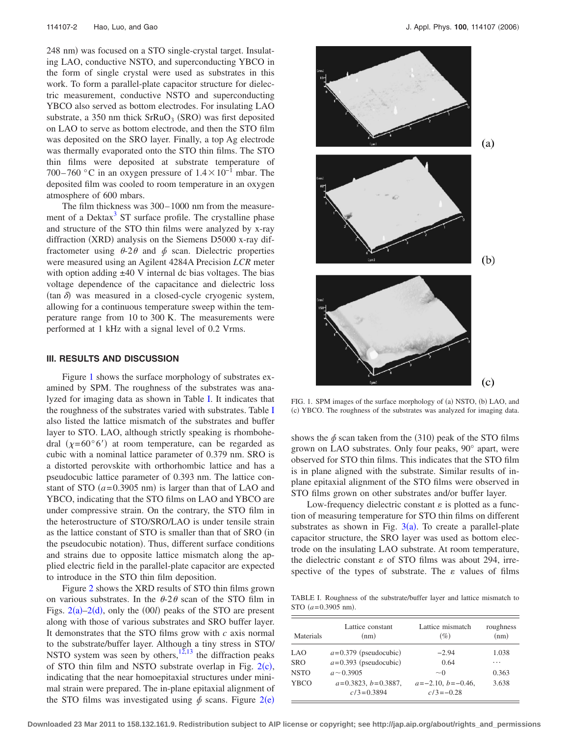248 nm) was focused on a STO single-crystal target. Insulating LAO, conductive NSTO, and superconducting YBCO in the form of single crystal were used as substrates in this work. To form a parallel-plate capacitor structure for dielectric measurement, conductive NSTO and superconducting YBCO also served as bottom electrodes. For insulating LAO substrate, a 350 nm thick  $SrRuO<sub>3</sub>$  (SRO) was first deposited on LAO to serve as bottom electrode, and then the STO film was deposited on the SRO layer. Finally, a top Ag electrode was thermally evaporated onto the STO thin films. The STO thin films were deposited at substrate temperature of 700–760 °C in an oxygen pressure of  $1.4 \times 10^{-1}$  mbar. The deposited film was cooled to room temperature in an oxygen atmosphere of 600 mbars.

The film thickness was 300– 1000 nm from the measurement of a Dektax<sup>3</sup> ST surface profile. The crystalline phase and structure of the STO thin films were analyzed by x-ray diffraction (XRD) analysis on the Siemens D5000 x-ray diffractometer using  $\theta$ -2 $\theta$  and  $\phi$  scan. Dielectric properties were measured using an Agilent 4284A Precision *LCR* meter with option adding  $\pm 40$  V internal dc bias voltages. The bias voltage dependence of the capacitance and dielectric loss  $(\tan \delta)$  was measured in a closed-cycle cryogenic system, allowing for a continuous temperature sweep within the temperature range from 10 to 300 K. The measurements were performed at 1 kHz with a signal level of 0.2 Vrms.

#### **III. RESULTS AND DISCUSSION**

Figure [1](#page-1-0) shows the surface morphology of substrates examined by SPM. The roughness of the substrates was analyzed for imaging data as shown in Table [I.](#page-1-1) It indicates that the roughness of the substrates varied with substrates. Table [I](#page-1-1) also listed the lattice mismatch of the substrates and buffer layer to STO. LAO, although strictly speaking is rhombohedral  $(\chi = 60^{\circ}6')$  at room temperature, can be regarded as cubic with a nominal lattice parameter of 0.379 nm. SRO is a distorted perovskite with orthorhombic lattice and has a pseudocubic lattice parameter of 0.393 nm. The lattice constant of STO  $(a=0.3905 \text{ nm})$  is larger than that of LAO and YBCO, indicating that the STO films on LAO and YBCO are under compressive strain. On the contrary, the STO film in the heterostructure of STO/SRO/LAO is under tensile strain as the lattice constant of STO is smaller than that of SRO in the pseudocubic notation). Thus, different surface conditions and strains due to opposite lattice mismatch along the applied electric field in the parallel-plate capacitor are expected to introduce in the STO thin film deposition.

Figure [2](#page-2-0) shows the XRD results of STO thin films grown on various substrates. In the  $\theta$ -2 $\theta$  scan of the STO film in Figs.  $2(a) - 2(d)$  $2(a) - 2(d)$ , only the  $(00l)$  peaks of the STO are present along with those of various substrates and SRO buffer layer. It demonstrates that the STO films grow with *c* axis normal to the substrate/buffer layer. Although a tiny stress in STO/ NSTO system was seen by others, $12,13$  $12,13$  the diffraction peaks of STO thin film and NSTO substrate overlap in Fig.  $2(c)$  $2(c)$ , indicating that the near homoepitaxial structures under minimal strain were prepared. The in-plane epitaxial alignment of the STO films was investigated using  $\phi$  scans. Figure [2](#page-2-0)(e)

<span id="page-1-0"></span>

FIG. 1. SPM images of the surface morphology of (a) NSTO, (b) LAO, and (c) YBCO. The roughness of the substrates was analyzed for imaging data.

shows the  $\phi$  scan taken from the (310) peak of the STO films grown on LAO substrates. Only four peaks, 90° apart, were observed for STO thin films. This indicates that the STO film is in plane aligned with the substrate. Similar results of inplane epitaxial alignment of the STO films were observed in STO films grown on other substrates and/or buffer layer.

Low-frequency dielectric constant  $\varepsilon$  is plotted as a function of measuring temperature for STO thin films on different substrates as shown in Fig.  $3(a)$  $3(a)$ . To create a parallel-plate capacitor structure, the SRO layer was used as bottom electrode on the insulating LAO substrate. At room temperature, the dielectric constant  $\varepsilon$  of STO films was about 294, irrespective of the types of substrate. The  $\varepsilon$  values of films

<span id="page-1-1"></span>TABLE I. Roughness of the substrate/buffer layer and lattice mismatch to  $STO$  ( $a = 0.3905$  nm).

| Materials   | Lattice constant<br>(nm)                | Lattice mismatch<br>(%)              | roughness<br>(nm) |
|-------------|-----------------------------------------|--------------------------------------|-------------------|
| LAO         | $a=0.379$ (pseudocubic)                 | $-2.94$                              | 1.038             |
| <b>SRO</b>  | $a=0.393$ (pseudocubic)                 | 0.64                                 | .                 |
| <b>NSTO</b> | $a \sim 0.3905$                         | $\sim$ 0                             | 0.363             |
| <b>YBCO</b> | $a=0.3823, b=0.3887,$<br>$c/3 = 0.3894$ | $a=-2.10, b=-0.46,$<br>$c/3 = -0.28$ | 3.638             |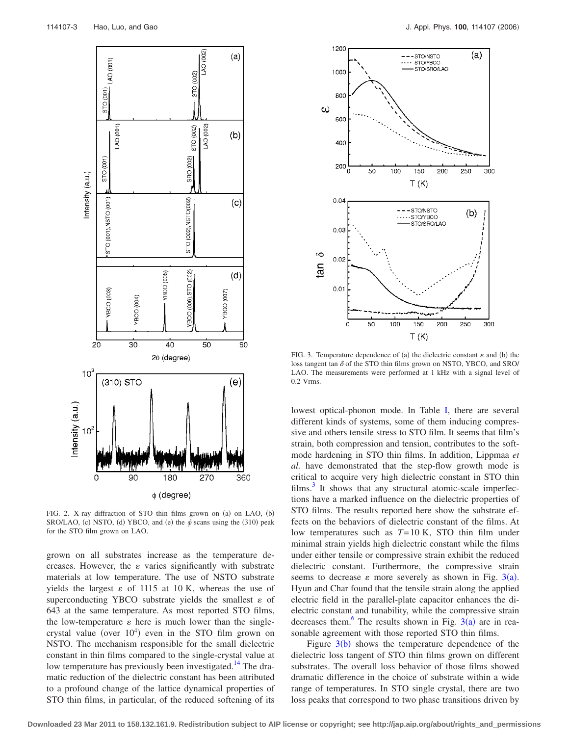<span id="page-2-0"></span>

FIG. 2. X-ray diffraction of STO thin films grown on (a) on LAO, (b) SRO/LAO, (c) NSTO, (d) YBCO, and (e) the  $\hat{\phi}$  scans using the (310) peak for the STO film grown on LAO.

grown on all substrates increase as the temperature decreases. However, the  $\varepsilon$  varies significantly with substrate materials at low temperature. The use of NSTO substrate yields the largest  $\varepsilon$  of 1115 at 10 K, whereas the use of superconducting YBCO substrate yields the smallest  $\varepsilon$  of 643 at the same temperature. As most reported STO films, the low-temperature  $\varepsilon$  here is much lower than the singlecrystal value (over  $10^4$ ) even in the STO film grown on NSTO. The mechanism responsible for the small dielectric constant in thin films compared to the single-crystal value at low temperature has previously been investigated.<sup>14</sup> The dramatic reduction of the dielectric constant has been attributed to a profound change of the lattice dynamical properties of STO thin films, in particular, of the reduced softening of its

<span id="page-2-1"></span>

FIG. 3. Temperature dependence of (a) the dielectric constant  $\varepsilon$  and (b) the loss tangent tan  $\delta$  of the STO thin films grown on NSTO, YBCO, and SRO/ LAO. The measurements were performed at 1 kHz with a signal level of 0.2 Vrms.

lowest optical-phonon mode. In Table [I,](#page-1-1) there are several different kinds of systems, some of them inducing compressive and others tensile stress to STO film. It seems that film's strain, both compression and tension, contributes to the softmode hardening in STO thin films. In addition, Lippmaa *et al.* have demonstrated that the step-flow growth mode is critical to acquire very high dielectric constant in STO thin films. $3$  It shows that any structural atomic-scale imperfections have a marked influence on the dielectric properties of STO films. The results reported here show the substrate effects on the behaviors of dielectric constant of the films. At low temperatures such as *T*= 10 K, STO thin film under minimal strain yields high dielectric constant while the films under either tensile or compressive strain exhibit the reduced dielectric constant. Furthermore, the compressive strain seems to decrease  $\varepsilon$  more severely as shown in Fig. [3](#page-2-1)(a). Hyun and Char found that the tensile strain along the applied electric field in the parallel-plate capacitor enhances the dielectric constant and tunability, while the compressive strain decreases them.<sup>6</sup> The results shown in Fig.  $3(a)$  $3(a)$  are in reasonable agreement with those reported STO thin films.

Figure  $3(b)$  $3(b)$  shows the temperature dependence of the dielectric loss tangent of STO thin films grown on different substrates. The overall loss behavior of those films showed dramatic difference in the choice of substrate within a wide range of temperatures. In STO single crystal, there are two loss peaks that correspond to two phase transitions driven by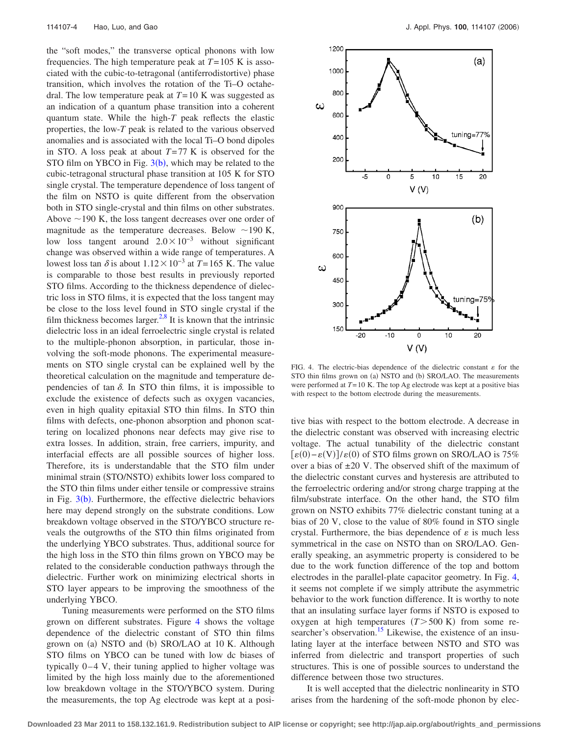the "soft modes," the transverse optical phonons with low frequencies. The high temperature peak at  $T = 105$  K is associated with the cubic-to-tetragonal (antiferrodistortive) phase transition, which involves the rotation of the Ti–O octahedral. The low temperature peak at *T*= 10 K was suggested as an indication of a quantum phase transition into a coherent quantum state. While the high-*T* peak reflects the elastic properties, the low-*T* peak is related to the various observed anomalies and is associated with the local Ti–O bond dipoles in STO. A loss peak at about *T*= 77 K is observed for the STO film on YBCO in Fig.  $3(b)$  $3(b)$ , which may be related to the cubic-tetragonal structural phase transition at 105 K for STO single crystal. The temperature dependence of loss tangent of the film on NSTO is quite different from the observation both in STO single-crystal and thin films on other substrates. Above  $\sim$  190 K, the loss tangent decreases over one order of magnitude as the temperature decreases. Below  $\sim$  190 K, low loss tangent around  $2.0\times10^{-3}$  without significant change was observed within a wide range of temperatures. A lowest loss tan  $\delta$  is about  $1.12 \times 10^{-3}$  at *T*= 165 K. The value is comparable to those best results in previously reported STO films. According to the thickness dependence of dielectric loss in STO films, it is expected that the loss tangent may be close to the loss level found in STO single crystal if the film thickness becomes larger.<sup>2[,8](#page-4-4)</sup> It is known that the intrinsic dielectric loss in an ideal ferroelectric single crystal is related to the multiple-phonon absorption, in particular, those involving the soft-mode phonons. The experimental measurements on STO single crystal can be explained well by the theoretical calculation on the magnitude and temperature dependencies of tan  $\delta$ . In STO thin films, it is impossible to exclude the existence of defects such as oxygen vacancies, even in high quality epitaxial STO thin films. In STO thin films with defects, one-phonon absorption and phonon scattering on localized phonons near defects may give rise to extra losses. In addition, strain, free carriers, impurity, and interfacial effects are all possible sources of higher loss. Therefore, its is understandable that the STO film under minimal strain (STO/NSTO) exhibits lower loss compared to the STO thin films under either tensile or compressive strains in Fig. [3](#page-2-1)(b). Furthermore, the effective dielectric behaviors here may depend strongly on the substrate conditions. Low breakdown voltage observed in the STO/YBCO structure reveals the outgrowths of the STO thin films originated from the underlying YBCO substrates. Thus, additional source for the high loss in the STO thin films grown on YBCO may be related to the considerable conduction pathways through the dielectric. Further work on minimizing electrical shorts in STO layer appears to be improving the smoothness of the underlying YBCO.

Tuning measurements were performed on the STO films grown on different substrates. Figure [4](#page-3-0) shows the voltage dependence of the dielectric constant of STO thin films grown on (a) NSTO and (b) SRO/LAO at 10 K. Although STO films on YBCO can be tuned with low dc biases of typically  $0-4$  V, their tuning applied to higher voltage was limited by the high loss mainly due to the aforementioned low breakdown voltage in the STO/YBCO system. During the measurements, the top Ag electrode was kept at a posi-

<span id="page-3-0"></span>

FIG. 4. The electric-bias dependence of the dielectric constant  $\varepsilon$  for the STO thin films grown on (a) NSTO and (b) SRO/LAO. The measurements were performed at *T*= 10 K. The top Ag electrode was kept at a positive bias with respect to the bottom electrode during the measurements.

tive bias with respect to the bottom electrode. A decrease in the dielectric constant was observed with increasing electric voltage. The actual tunability of the dielectric constant  $\lbrack \varepsilon(0)-\varepsilon(V)\rbrack / \varepsilon(0)$  of STO films grown on SRO/LAO is 75% over a bias of  $\pm 20$  V. The observed shift of the maximum of the dielectric constant curves and hysteresis are attributed to the ferroelectric ordering and/or strong charge trapping at the film/substrate interface. On the other hand, the STO film grown on NSTO exhibits 77% dielectric constant tuning at a bias of 20 V, close to the value of 80% found in STO single crystal. Furthermore, the bias dependence of  $\varepsilon$  is much less symmetrical in the case on NSTO than on SRO/LAO. Generally speaking, an asymmetric property is considered to be due to the work function difference of the top and bottom electrodes in the parallel-plate capacitor geometry. In Fig. [4,](#page-3-0) it seems not complete if we simply attribute the asymmetric behavior to the work function difference. It is worthy to note that an insulating surface layer forms if NSTO is exposed to oxygen at high temperatures  $(T>500 \text{ K})$  from some researcher's observation.<sup>15</sup> Likewise, the existence of an insulating layer at the interface between NSTO and STO was inferred from dielectric and transport properties of such structures. This is one of possible sources to understand the difference between those two structures.

It is well accepted that the dielectric nonlinearity in STO arises from the hardening of the soft-mode phonon by elec